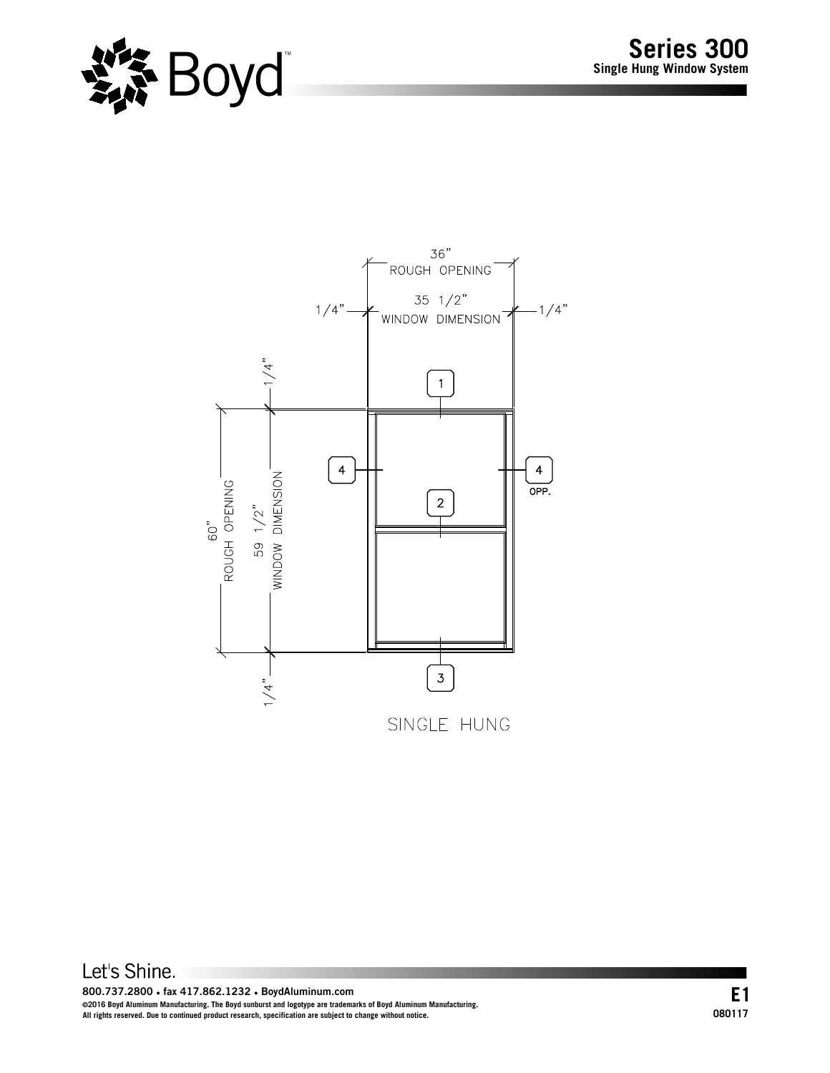



**800.737.2800 ● fax 417.862.1232 ● BoydAluminum.com ©2016 Boyd Aluminum Manufacturing. The Boyd sunburst and logotype are trademarks of Boyd Aluminum Manufacturing. E1 All rights reserved. Due to continued product research, specification are subject to change without notice.**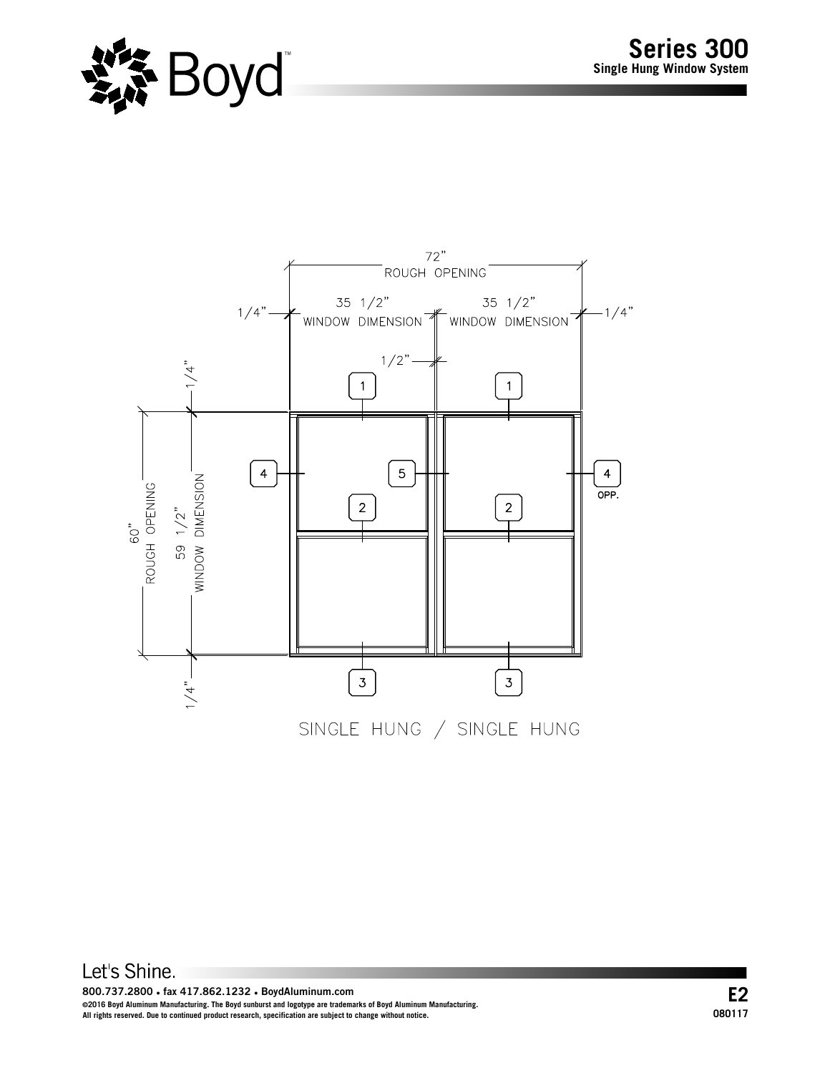

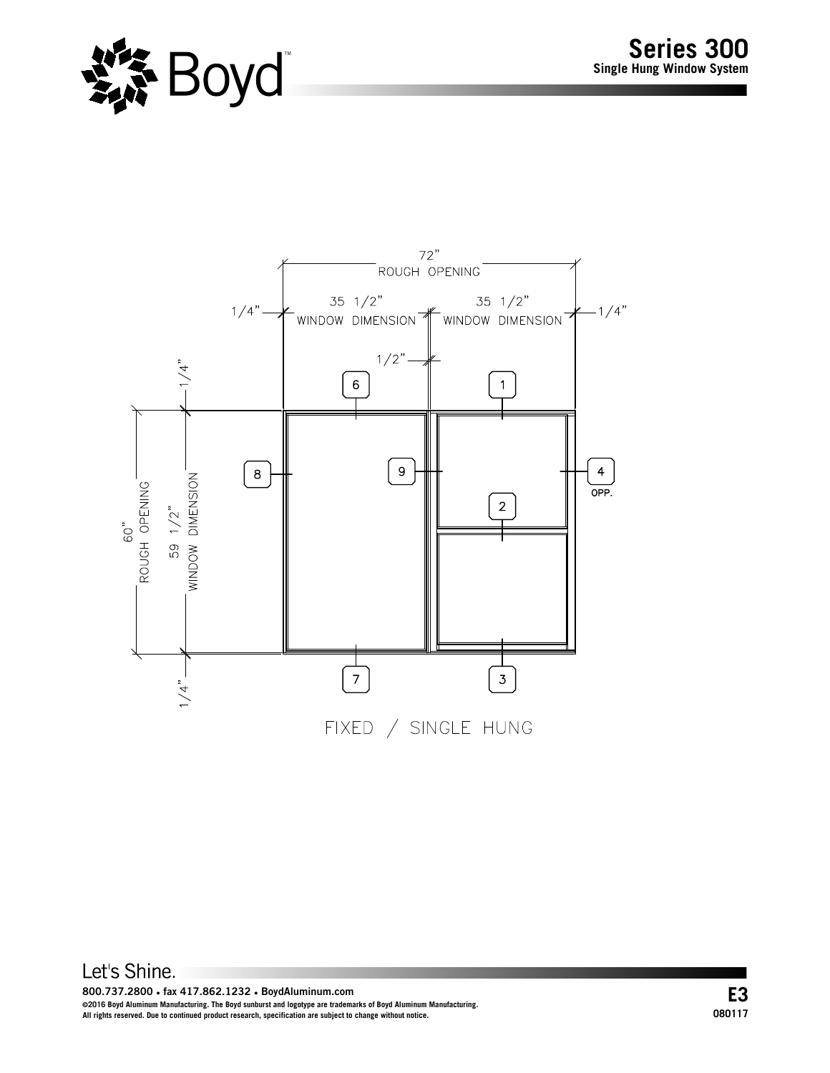

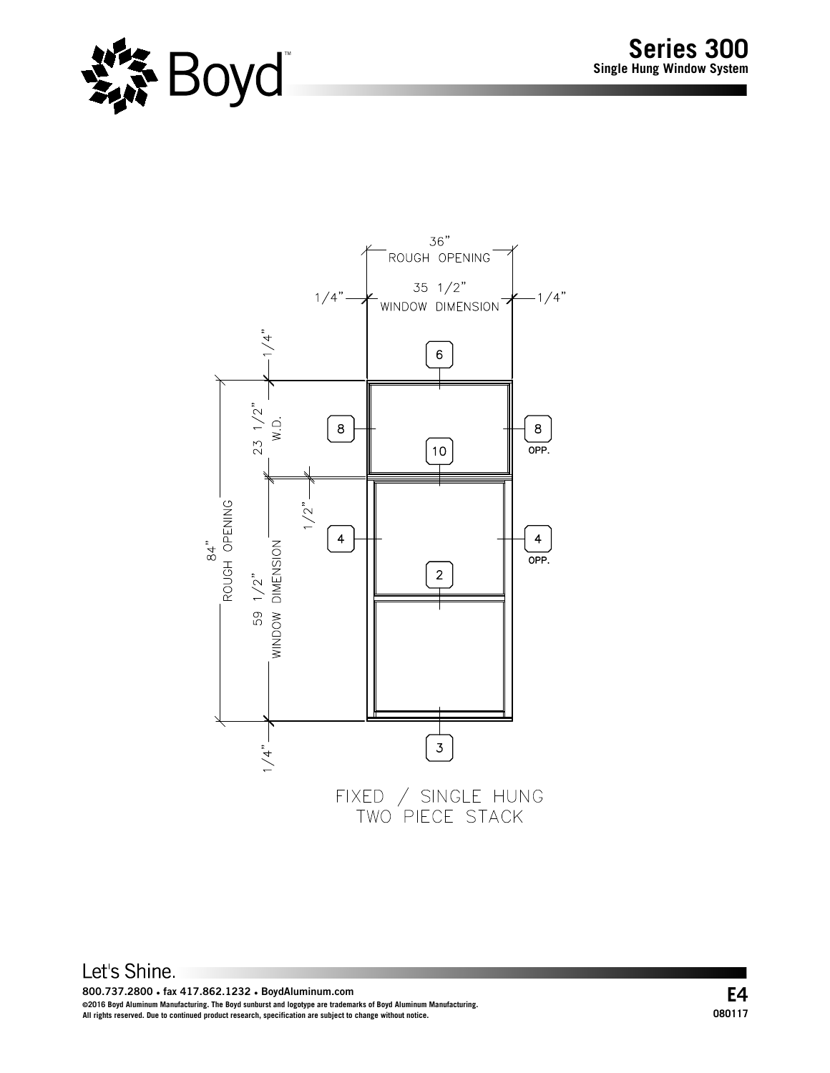



**800.737.2800 ● fax 417.862.1232 ● BoydAluminum.com ©2016 Boyd Aluminum Manufacturing. The Boyd sunburst and logotype are trademarks of Boyd Aluminum Manufacturing. E4 All rights reserved. Due to continued product research, specification are subject to change without notice.**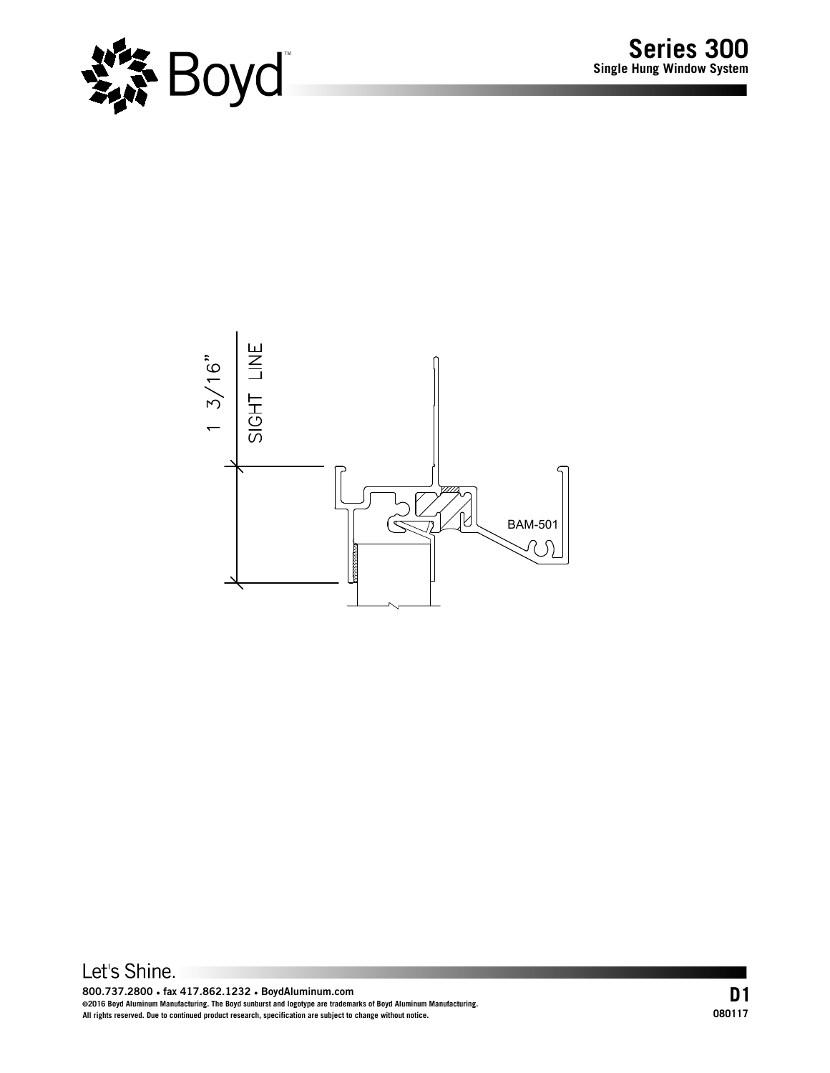

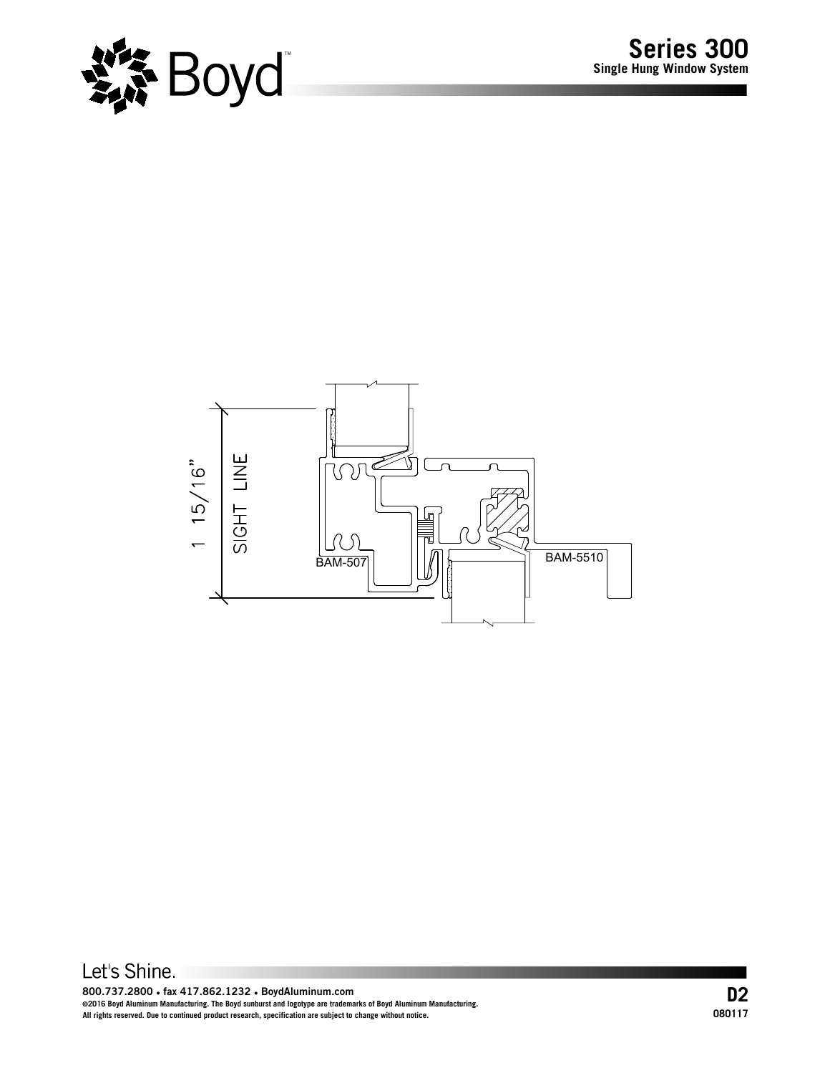



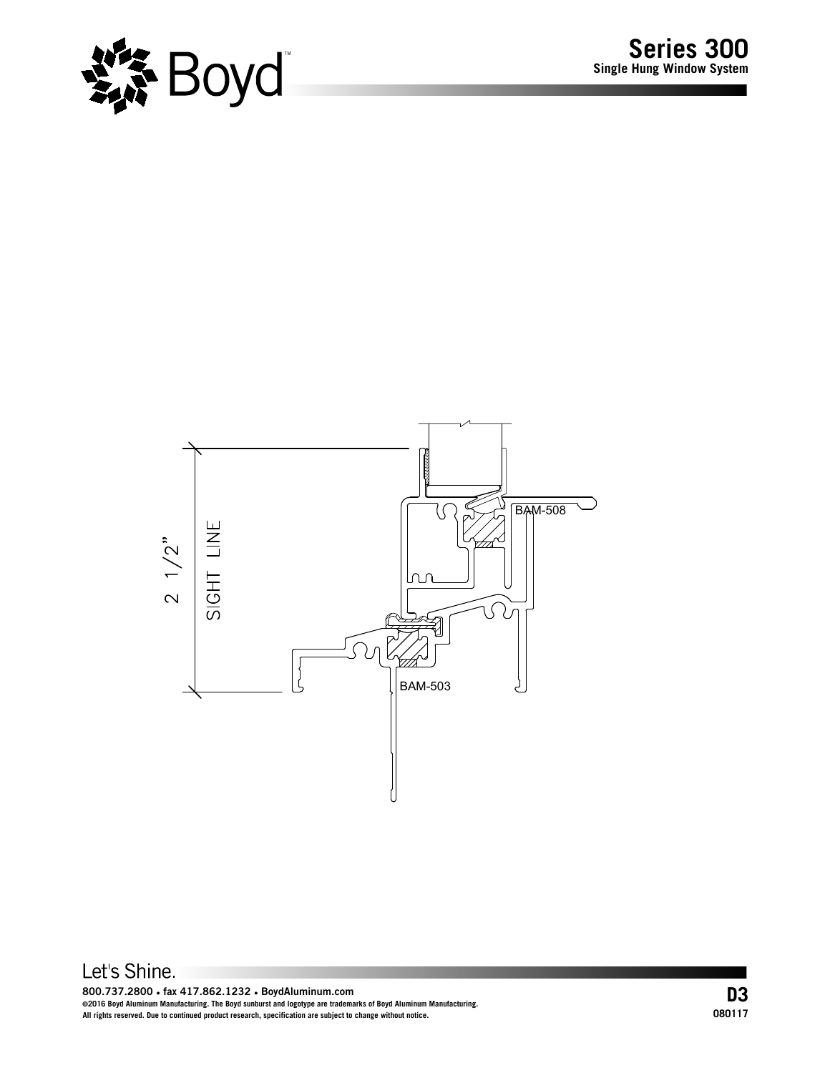



**800.737.2800 ● fax 417.862.1232 ● BoydAluminum.com ©2016 Boyd Aluminum Manufacturing. The Boyd sunburst and logotype are trademarks of Boyd Aluminum Manufacturing. D3 All rights reserved. Due to continued product research, specification are subject to change without notice.**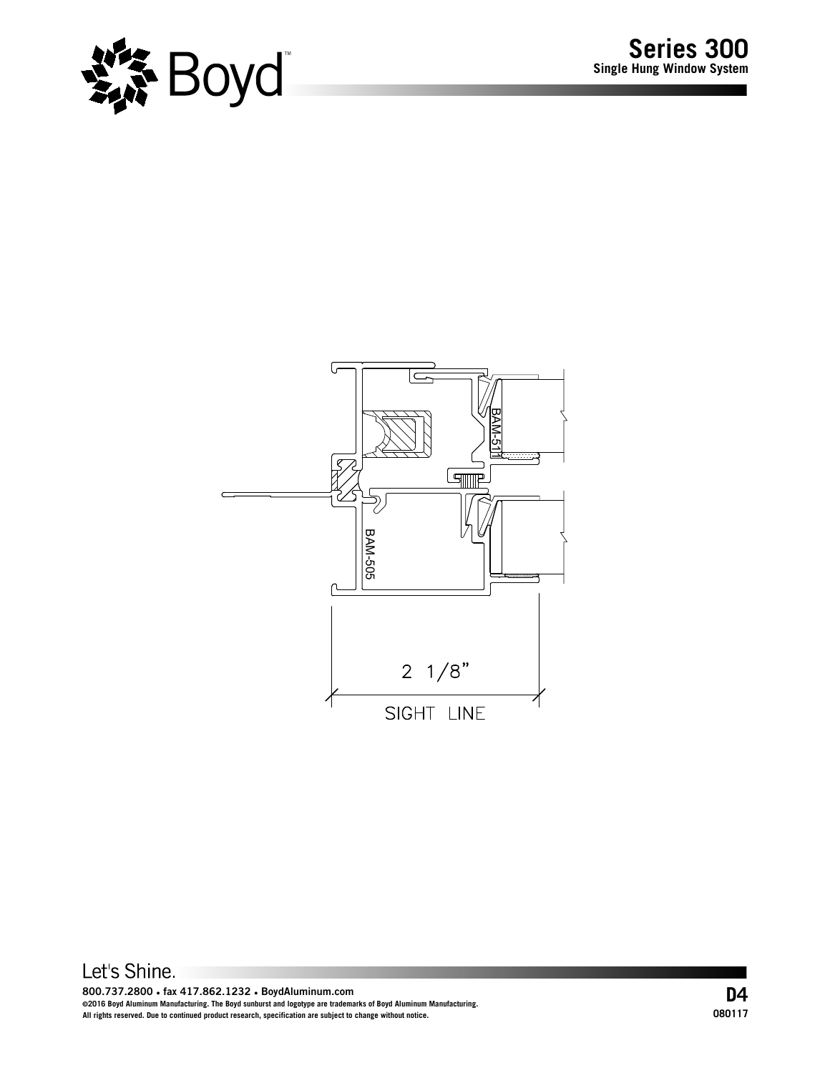



**800.737.2800 ● fax 417.862.1232 ● BoydAluminum.com ©2016 Boyd Aluminum Manufacturing. The Boyd sunburst and logotype are trademarks of Boyd Aluminum Manufacturing. D4 All rights reserved. Due to continued product research, specification are subject to change without notice.**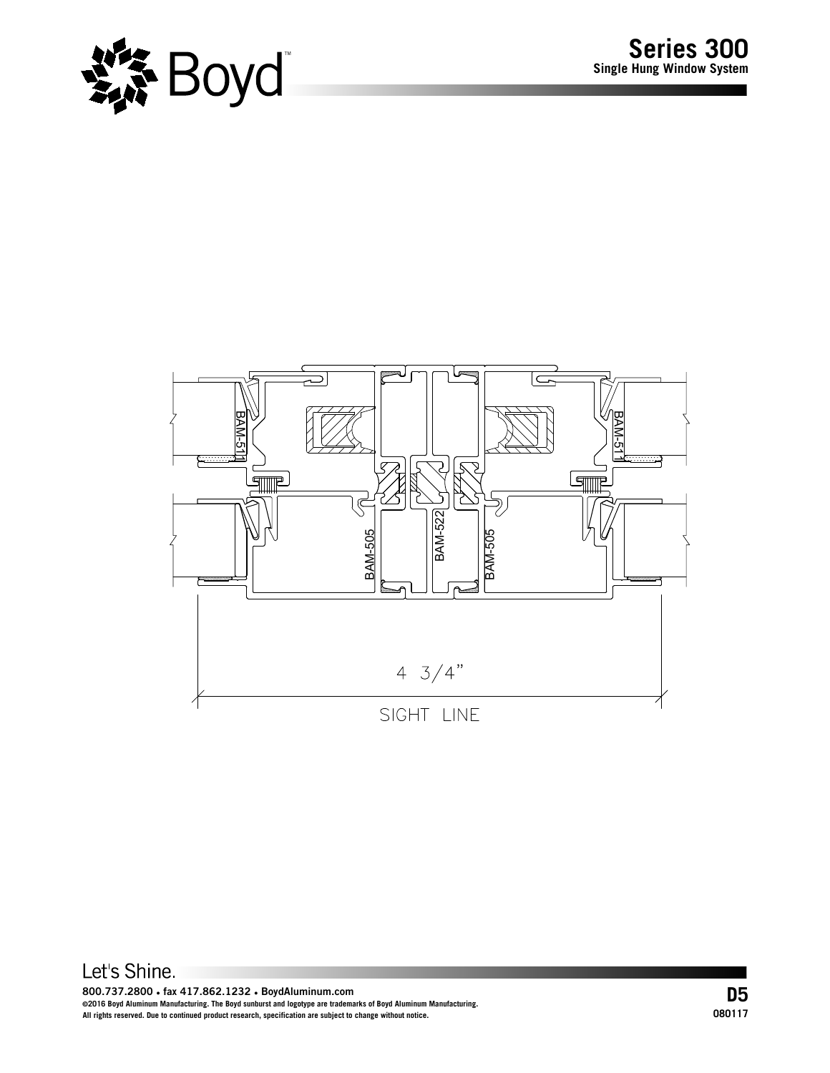

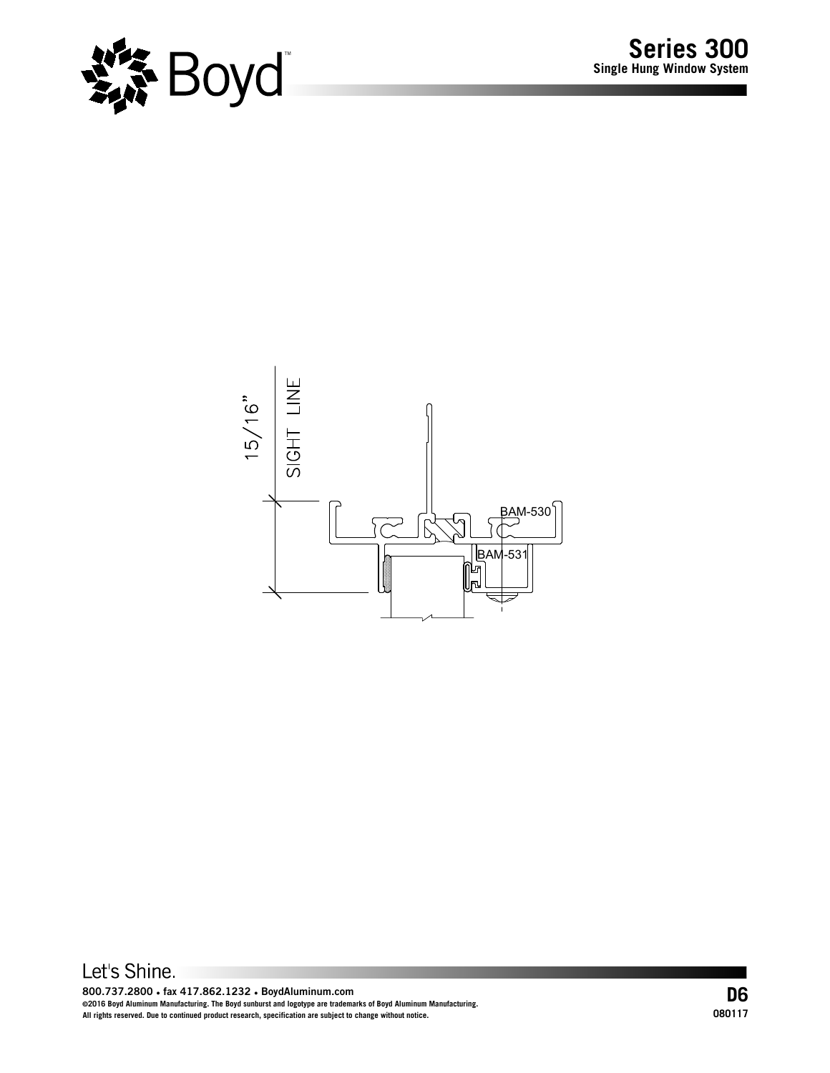



**800.737.2800 ● fax 417.862.1232 ● BoydAluminum.com ©2016 Boyd Aluminum Manufacturing. The Boyd sunburst and logotype are trademarks of Boyd Aluminum Manufacturing. D6 All rights reserved. Due to continued product research, specification are subject to change without notice.**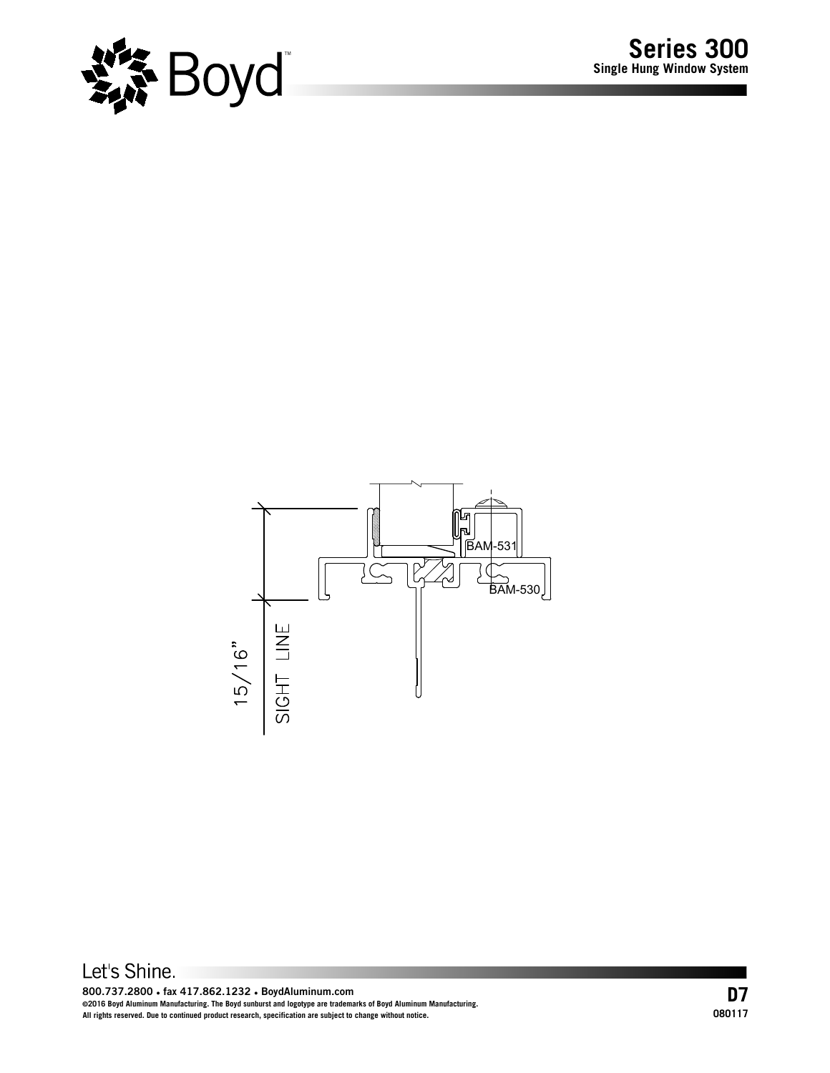



**800.737.2800 ● fax 417.862.1232 ● BoydAluminum.com ©2016 Boyd Aluminum Manufacturing. The Boyd sunburst and logotype are trademarks of Boyd Aluminum Manufacturing. D7 All rights reserved. Due to continued product research, specification are subject to change without notice.**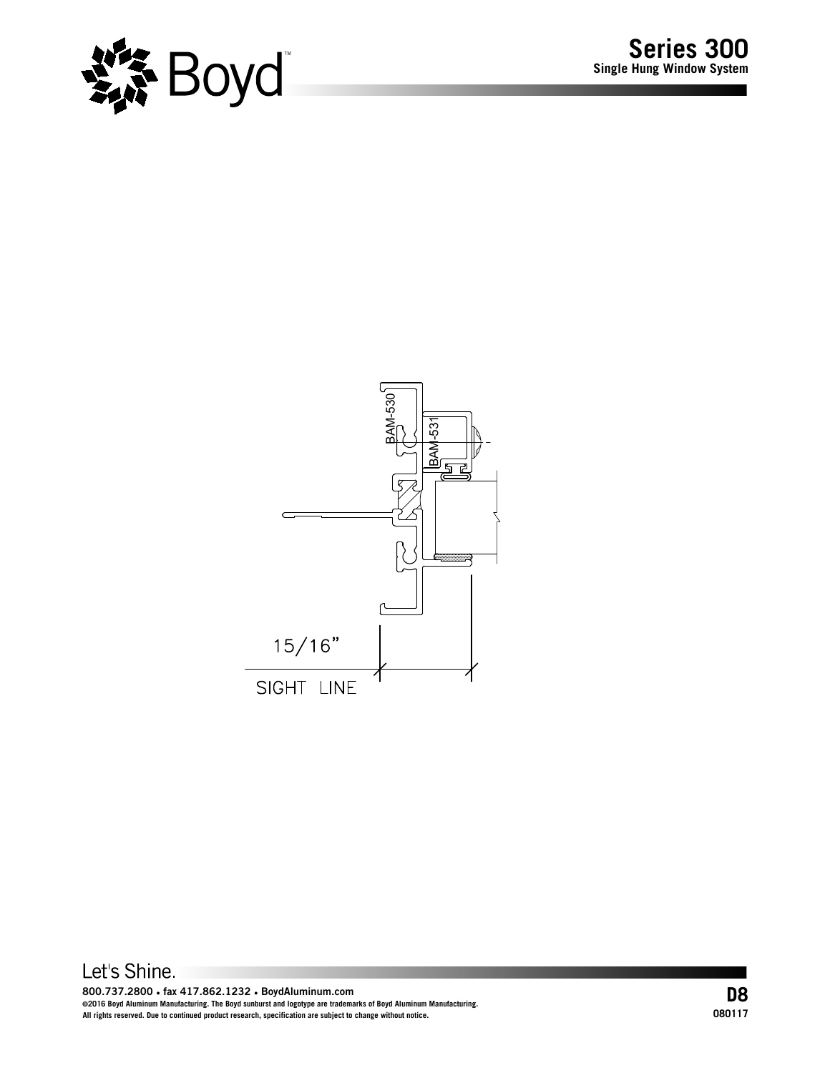

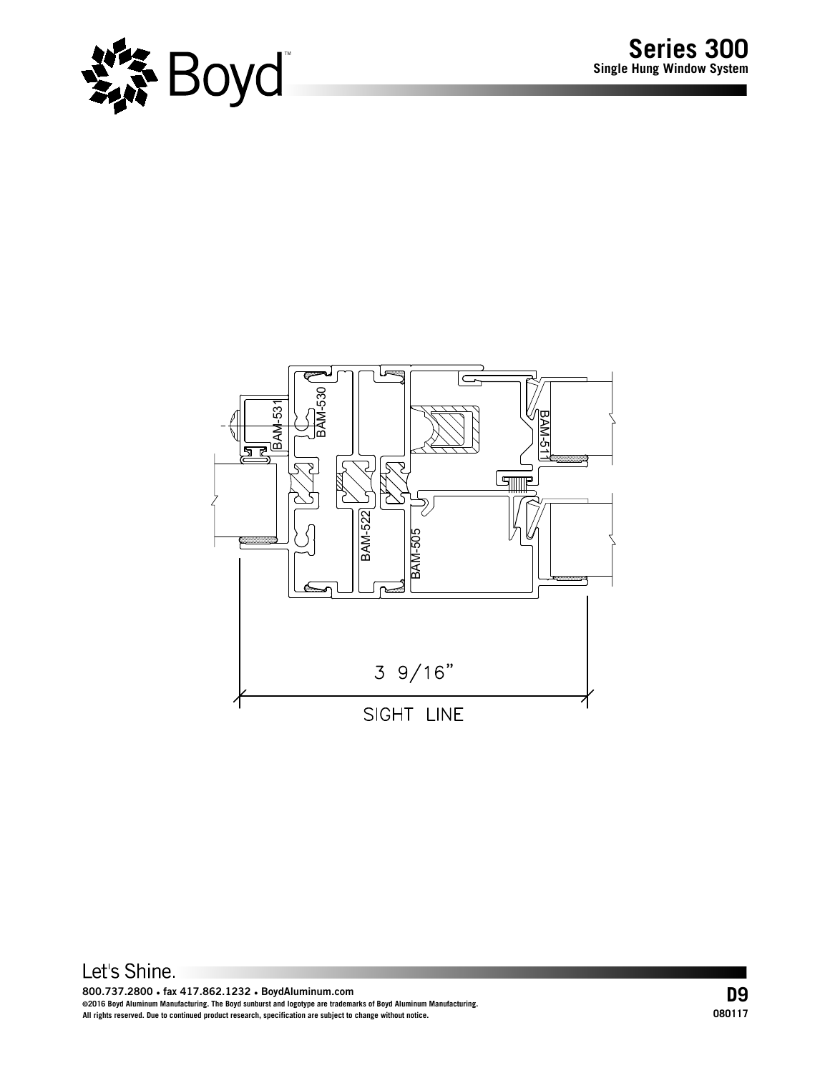

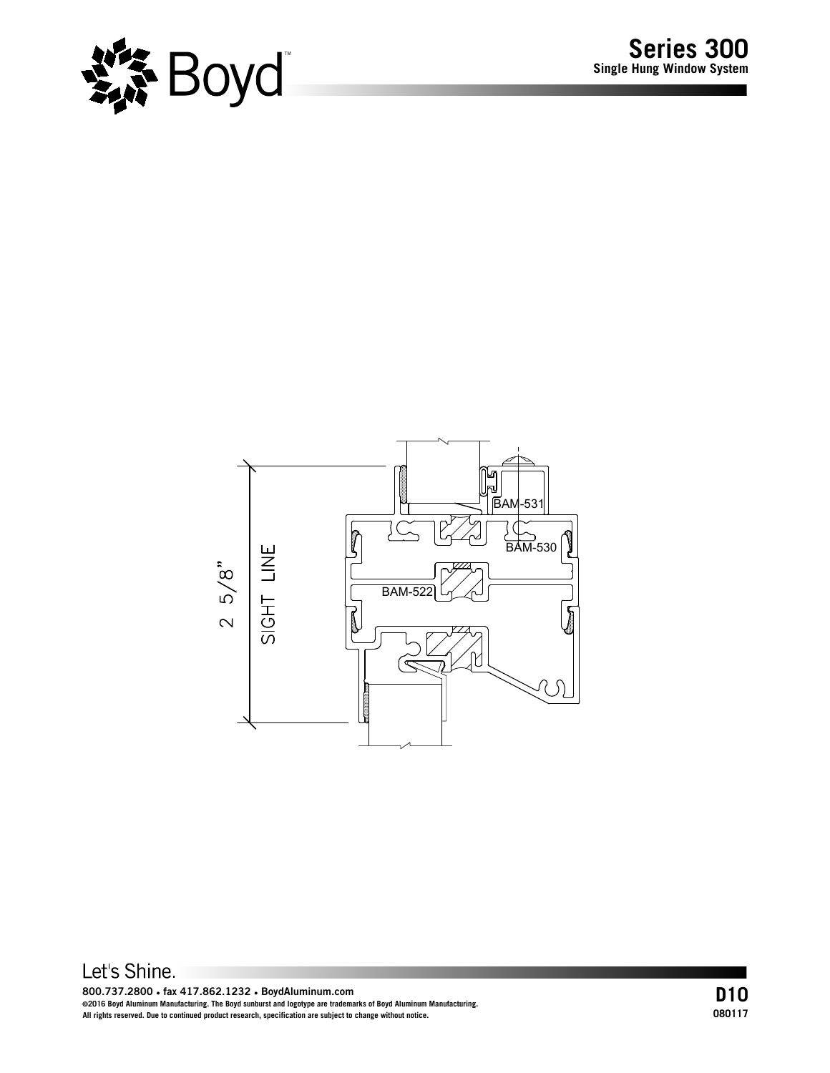



**800.737.2800 ● fax 417.862.1232 ● BoydAluminum.com ©2016 Boyd Aluminum Manufacturing. The Boyd sunburst and logotype are trademarks of Boyd Aluminum Manufacturing. D10 All rights reserved. Due to continued product research, specification are subject to change without notice.**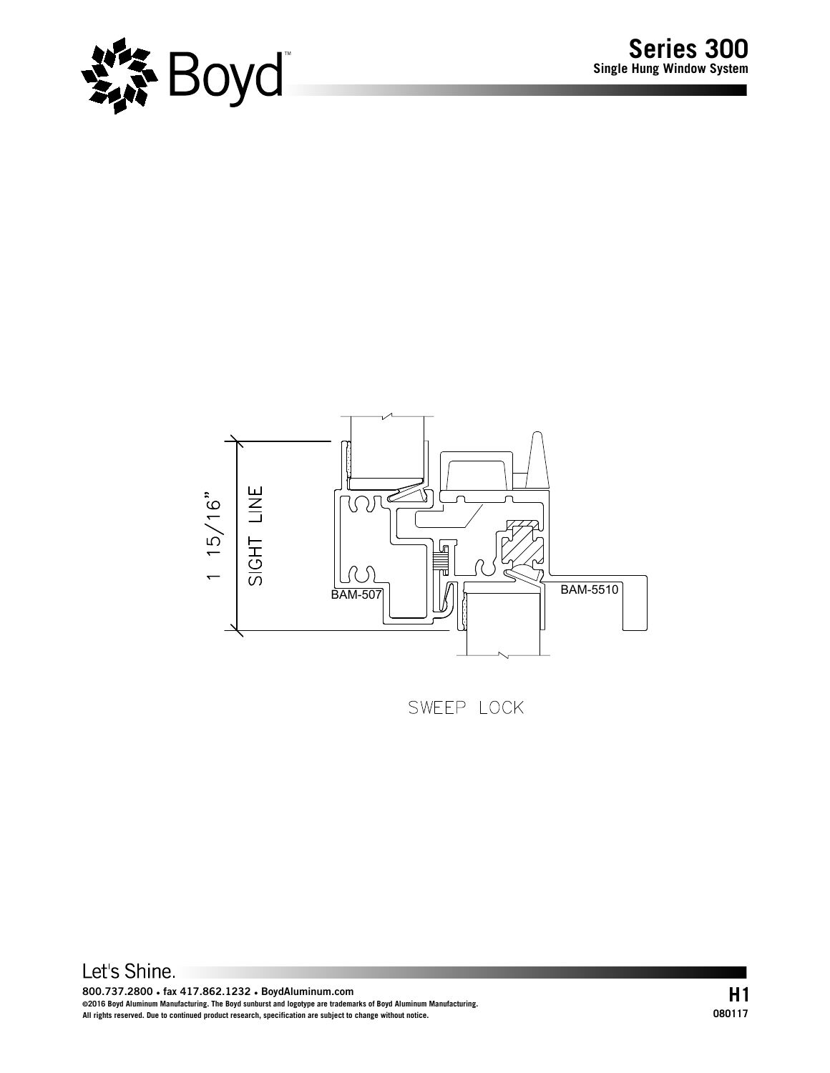



SWEEP LOCK